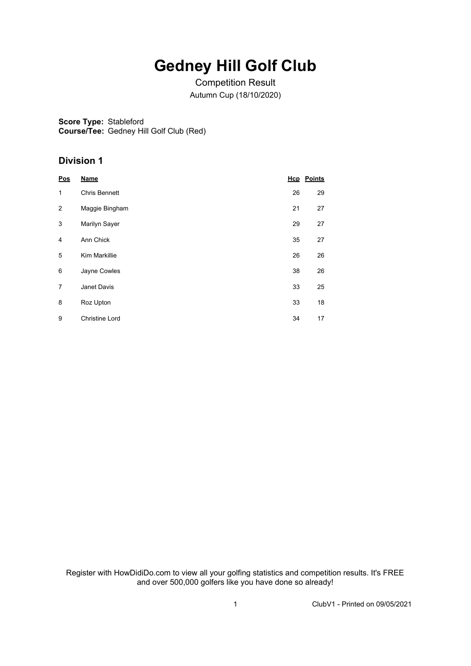## **Gedney Hill Golf Club**

Competition Result Autumn Cup (18/10/2020)

**Score Type:** Stableford **Course/Tee:** Gedney Hill Golf Club (Red)

## **Division 1**

| Pos            | <b>Name</b>           |    | <b>Hcp</b> Points |
|----------------|-----------------------|----|-------------------|
| 1              | Chris Bennett         | 26 | 29                |
| $\overline{2}$ | Maggie Bingham        | 21 | 27                |
| 3              | Marilyn Sayer         | 29 | 27                |
| 4              | Ann Chick             | 35 | 27                |
| 5              | Kim Markillie         | 26 | 26                |
| 6              | Jayne Cowles          | 38 | 26                |
| $\overline{7}$ | Janet Davis           | 33 | 25                |
| 8              | Roz Upton             | 33 | 18                |
| 9              | <b>Christine Lord</b> | 34 | 17                |

Register with HowDidiDo.com to view all your golfing statistics and competition results. It's FREE and over 500,000 golfers like you have done so already!